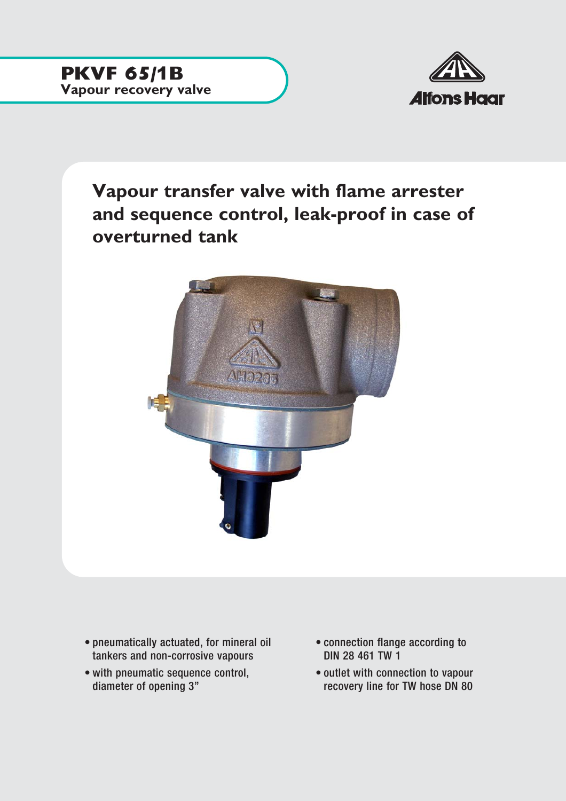

**Vapour transfer valve with flame arrester and sequence control, leak-proof in case of overturned tank**



- pneumatically actuated, for mineral oil tankers and non-corrosive vapours
- with pneumatic sequence control, diameter of opening 3"
- connection flange according to DIN 28 461 TW 1
- outlet with connection to vapour recovery line for TW hose DN 80